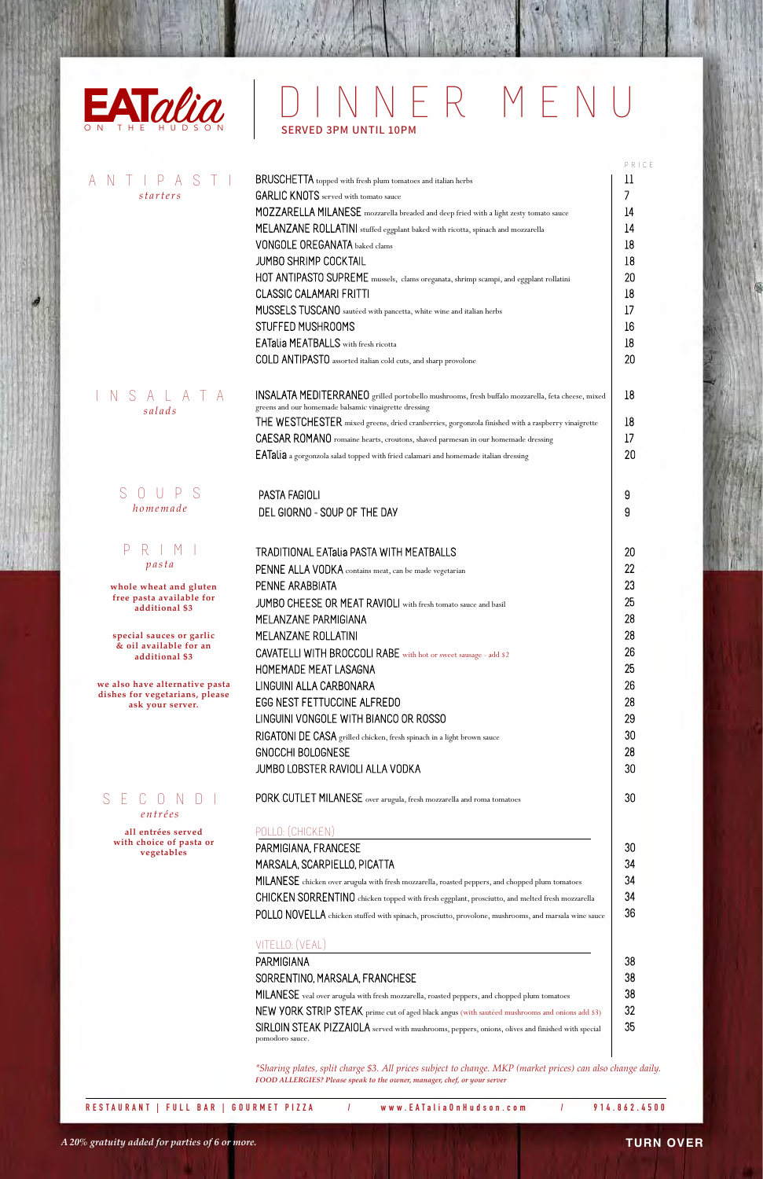

## **TURN OVER**

|                                                                      | BRUSCHETTA topped with fresh plum tomatoes and italian herbs                                                                                              |
|----------------------------------------------------------------------|-----------------------------------------------------------------------------------------------------------------------------------------------------------|
| starters                                                             | <b>GARLIC KNOTS</b> served with tomato sauce                                                                                                              |
|                                                                      | MOZZARELLA MILANESE mozzarella breaded and deep fried with a light zesty tomato sauce                                                                     |
|                                                                      | MELANZANE ROLLATINI stuffed eggplant baked with ricotta, spinach and mozzarella                                                                           |
|                                                                      | <b>VONGOLE OREGANATA</b> baked clams                                                                                                                      |
|                                                                      | <b>JUMBO SHRIMP COCKTAIL</b>                                                                                                                              |
|                                                                      |                                                                                                                                                           |
|                                                                      | HOT ANTIPASTO SUPREME mussels, clams oreganata, shrimp scampi, and eggplant rollatini                                                                     |
|                                                                      | <b>CLASSIC CALAMARI FRITTI</b>                                                                                                                            |
|                                                                      | MUSSELS TUSCANO sautéed with pancetta, white wine and italian herbs                                                                                       |
|                                                                      | STUFFED MUSHROOMS                                                                                                                                         |
|                                                                      | <b>EATalia MEATBALLS</b> with fresh ricotta                                                                                                               |
|                                                                      | COLD ANTIPASTO assorted italian cold cuts, and sharp provolone                                                                                            |
| SALATA<br>N<br>salads                                                | INSALATA MEDITERRANEO grilled portobello mushrooms, fresh buffalo mozzarella, feta cheese, mixed<br>greens and our homemade balsamic vinaigrette dressing |
|                                                                      | THE WESTCHESTER mixed greens, dried cranberries, gorgonzola finished with a raspberry vinaigrette                                                         |
|                                                                      | CAESAR ROMANO romaine hearts, croutons, shaved parmesan in our homemade dressing                                                                          |
|                                                                      | EATalia a gorgonzola salad topped with fried calamari and homemade italian dressing                                                                       |
|                                                                      |                                                                                                                                                           |
| S<br>$\bigcap$                                                       | PASTA FAGIOLI                                                                                                                                             |
| homemade                                                             | DEL GIORNO - SOUP OF THE DAY                                                                                                                              |
| Р                                                                    | <b>TRADITIONAL EATalia PASTA WITH MEATBALLS</b>                                                                                                           |
| pasta                                                                | PENNE ALLA VODKA contains meat, can be made vegetarian                                                                                                    |
|                                                                      | PENNE ARABBIATA                                                                                                                                           |
| whole wheat and gluten<br>free pasta available for                   |                                                                                                                                                           |
| additional \$3                                                       | JUMBO CHEESE OR MEAT RAVIOLI with fresh tomato sauce and basil                                                                                            |
|                                                                      | MELANZANE PARMIGIANA                                                                                                                                      |
| special sauces or garlic<br>& oil available for an<br>additional \$3 | MELANZANE ROLLATINI                                                                                                                                       |
|                                                                      | CAVATELLI WITH BROCCOLI RABE with hot or sweet sausage - add \$2                                                                                          |
|                                                                      | HOMEMADE MEAT LASAGNA                                                                                                                                     |
| we also have alternative pasta                                       | LINGUINI ALLA CARBONARA                                                                                                                                   |
| dishes for vegetarians, please<br>ask your server.                   | EGG NEST FETTUCCINE ALFREDO                                                                                                                               |
|                                                                      | LINGUINI VONGOLE WITH BIANCO OR ROSSO                                                                                                                     |
|                                                                      |                                                                                                                                                           |
|                                                                      | RIGATONI DE CASA grilled chicken, fresh spinach in a light brown sauce                                                                                    |
|                                                                      | GNOCCHI BOLOGNESE                                                                                                                                         |
|                                                                      | JUMBO LOBSTER RAVIOLI ALLA VODKA                                                                                                                          |
| $C$ $O$ $N$<br>S<br>E.<br>entrées                                    | PORK CUTLET MILANESE over arugula, fresh mozzarella and roma tomatoes                                                                                     |
| all entrées served                                                   | POLLO: (CHICKEN)                                                                                                                                          |
| with choice of pasta or<br>vegetables                                | PARMIGIANA, FRANCESE                                                                                                                                      |
|                                                                      | MARSALA, SCARPIELLO, PICATTA                                                                                                                              |
|                                                                      | MILANESE chicken over arugula with fresh mozzarella, roasted peppers, and chopped plum tomatoes                                                           |
|                                                                      | CHICKEN SORRENTINO chicken topped with fresh eggplant, prosciutto, and melted fresh mozzarella                                                            |
|                                                                      | POLLO NOVELLA chicken stuffed with spinach, prosciutto, provolone, mushrooms, and marsala wine sauce                                                      |
|                                                                      | VITELLO: (VEAL)                                                                                                                                           |
|                                                                      | PARMIGIANA                                                                                                                                                |
|                                                                      |                                                                                                                                                           |
|                                                                      | SORRENTINO, MARSALA, FRANCHESE                                                                                                                            |
|                                                                      | MILANESE veal over arugula with fresh mozzarella, roasted peppers, and chopped plum tomatoes                                                              |
|                                                                      | NEW YORK STRIP STEAK prime cut of aged black angus (with sautéed mushrooms and onions add \$3)                                                            |
|                                                                      | SIRLOIN STEAK PIZZAIOLA served with mushrooms, peppers, onions, olives and finished with special<br>pomodoro sauce.                                       |
|                                                                      | *Sharing plates, split charge \$3. All prices subject to change. MKP (market prices) can also change daily.                                               |
|                                                                      |                                                                                                                                                           |

## alia DINNER MENU SERVED 3PM UNTIL 10PM

*A 20% gratuity added for parties of 6 or more.*